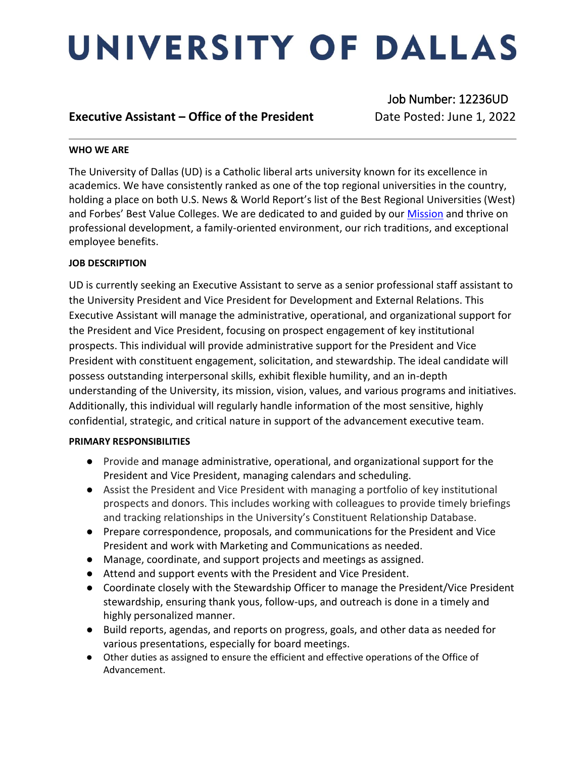# UNIVERSITY OF DALLAS

### **Executive Assistant – Office of the President Date Posted: June 1, 2022**

Job Number: 12236UD

### **WHO WE ARE**

The University of Dallas (UD) is a Catholic liberal arts university known for its excellence in academics. We have consistently ranked as one of the top regional universities in the country, holding a place on both U.S. News & World Report's list of the Best Regional Universities (West) and Forbes' Best Value Colleges. We are dedicated to and guided by our [Mission](https://www.udallas.edu/about/mission.php) and thrive on professional development, a family-oriented environment, our rich traditions, and exceptional employee benefits.

### **JOB DESCRIPTION**

UD is currently seeking an Executive Assistant to serve as a senior professional staff assistant to the University President and Vice President for Development and External Relations. This Executive Assistant will manage the administrative, operational, and organizational support for the President and Vice President, focusing on prospect engagement of key institutional prospects. This individual will provide administrative support for the President and Vice President with constituent engagement, solicitation, and stewardship. The ideal candidate will possess outstanding interpersonal skills, exhibit flexible humility, and an in-depth understanding of the University, its mission, vision, values, and various programs and initiatives. Additionally, this individual will regularly handle information of the most sensitive, highly confidential, strategic, and critical nature in support of the advancement executive team.

### **PRIMARY RESPONSIBILITIES**

- Provide and manage administrative, operational, and organizational support for the President and Vice President, managing calendars and scheduling.
- Assist the President and Vice President with managing a portfolio of key institutional prospects and donors. This includes working with colleagues to provide timely briefings and tracking relationships in the University's Constituent Relationship Database.
- Prepare correspondence, proposals, and communications for the President and Vice President and work with Marketing and Communications as needed.
- Manage, coordinate, and support projects and meetings as assigned.
- Attend and support events with the President and Vice President.
- Coordinate closely with the Stewardship Officer to manage the President/Vice President stewardship, ensuring thank yous, follow-ups, and outreach is done in a timely and highly personalized manner.
- Build reports, agendas, and reports on progress, goals, and other data as needed for various presentations, especially for board meetings.
- Other duties as assigned to ensure the efficient and effective operations of the Office of Advancement.